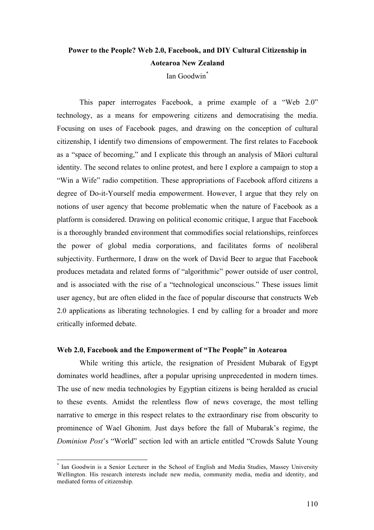# **Power to the People? Web 2.0, Facebook, and DIY Cultural Citizenship in Aotearoa New Zealand**

Ian Goodwin\*

This paper interrogates Facebook, a prime example of a "Web 2.0" technology, as a means for empowering citizens and democratising the media. Focusing on uses of Facebook pages, and drawing on the conception of cultural citizenship, I identify two dimensions of empowerment. The first relates to Facebook as a "space of becoming," and I explicate this through an analysis of Māori cultural identity. The second relates to online protest, and here I explore a campaign to stop a "Win a Wife" radio competition. These appropriations of Facebook afford citizens a degree of Do-it-Yourself media empowerment. However, I argue that they rely on notions of user agency that become problematic when the nature of Facebook as a platform is considered. Drawing on political economic critique, I argue that Facebook is a thoroughly branded environment that commodifies social relationships, reinforces the power of global media corporations, and facilitates forms of neoliberal subjectivity. Furthermore, I draw on the work of David Beer to argue that Facebook produces metadata and related forms of "algorithmic" power outside of user control, and is associated with the rise of a "technological unconscious." These issues limit user agency, but are often elided in the face of popular discourse that constructs Web 2.0 applications as liberating technologies. I end by calling for a broader and more critically informed debate.

### **Web 2.0, Facebook and the Empowerment of "The People" in Aotearoa**

While writing this article, the resignation of President Mubarak of Egypt dominates world headlines, after a popular uprising unprecedented in modern times. The use of new media technologies by Egyptian citizens is being heralded as crucial to these events. Amidst the relentless flow of news coverage, the most telling narrative to emerge in this respect relates to the extraordinary rise from obscurity to prominence of Wael Ghonim. Just days before the fall of Mubarak's regime, the *Dominion Post*'s "World" section led with an article entitled "Crowds Salute Young

Ian Goodwin is a Senior Lecturer in the School of English and Media Studies, Massey University Wellington. His research interests include new media, community media, media and identity, and mediated forms of citizenship.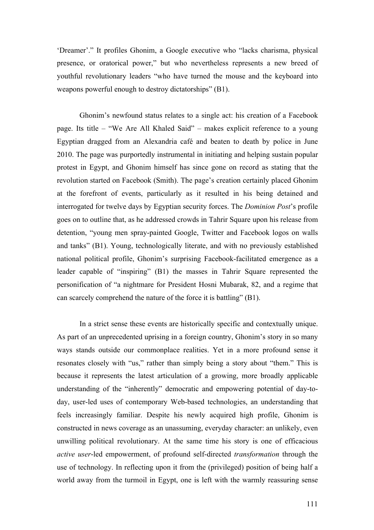'Dreamer'." It profiles Ghonim, a Google executive who "lacks charisma, physical presence, or oratorical power," but who nevertheless represents a new breed of youthful revolutionary leaders "who have turned the mouse and the keyboard into weapons powerful enough to destroy dictatorships" (B1).

Ghonim's newfound status relates to a single act: his creation of a Facebook page. Its title – "We Are All Khaled Said" – makes explicit reference to a young Egyptian dragged from an Alexandria café and beaten to death by police in June 2010. The page was purportedly instrumental in initiating and helping sustain popular protest in Egypt, and Ghonim himself has since gone on record as stating that the revolution started on Facebook (Smith). The page's creation certainly placed Ghonim at the forefront of events, particularly as it resulted in his being detained and interrogated for twelve days by Egyptian security forces. The *Dominion Post*'s profile goes on to outline that, as he addressed crowds in Tahrir Square upon his release from detention, "young men spray-painted Google, Twitter and Facebook logos on walls and tanks" (B1). Young, technologically literate, and with no previously established national political profile, Ghonim's surprising Facebook-facilitated emergence as a leader capable of "inspiring" (B1) the masses in Tahrir Square represented the personification of "a nightmare for President Hosni Mubarak, 82, and a regime that can scarcely comprehend the nature of the force it is battling" (B1).

In a strict sense these events are historically specific and contextually unique. As part of an unprecedented uprising in a foreign country, Ghonim's story in so many ways stands outside our commonplace realities. Yet in a more profound sense it resonates closely with "us," rather than simply being a story about "them." This is because it represents the latest articulation of a growing, more broadly applicable understanding of the "inherently" democratic and empowering potential of day-today, user-led uses of contemporary Web-based technologies, an understanding that feels increasingly familiar. Despite his newly acquired high profile, Ghonim is constructed in news coverage as an unassuming, everyday character: an unlikely, even unwilling political revolutionary. At the same time his story is one of efficacious *active user*-led empowerment, of profound self-directed *transformation* through the use of technology. In reflecting upon it from the (privileged) position of being half a world away from the turmoil in Egypt, one is left with the warmly reassuring sense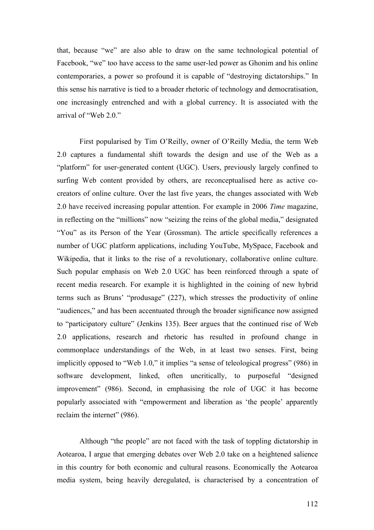that, because "we" are also able to draw on the same technological potential of Facebook, "we" too have access to the same user-led power as Ghonim and his online contemporaries, a power so profound it is capable of "destroying dictatorships." In this sense his narrative is tied to a broader rhetoric of technology and democratisation, one increasingly entrenched and with a global currency. It is associated with the arrival of "Web 2.0."

First popularised by Tim O'Reilly, owner of O'Reilly Media, the term Web 2.0 captures a fundamental shift towards the design and use of the Web as a "platform" for user-generated content (UGC). Users, previously largely confined to surfing Web content provided by others, are reconceptualised here as active cocreators of online culture. Over the last five years, the changes associated with Web 2.0 have received increasing popular attention. For example in 2006 *Time* magazine, in reflecting on the "millions" now "seizing the reins of the global media," designated "You" as its Person of the Year (Grossman). The article specifically references a number of UGC platform applications, including YouTube, MySpace, Facebook and Wikipedia, that it links to the rise of a revolutionary, collaborative online culture. Such popular emphasis on Web 2.0 UGC has been reinforced through a spate of recent media research. For example it is highlighted in the coining of new hybrid terms such as Bruns' "produsage" (227), which stresses the productivity of online "audiences," and has been accentuated through the broader significance now assigned to "participatory culture" (Jenkins 135). Beer argues that the continued rise of Web 2.0 applications, research and rhetoric has resulted in profound change in commonplace understandings of the Web, in at least two senses. First, being implicitly opposed to "Web 1.0," it implies "a sense of teleological progress" (986) in software development, linked, often uncritically, to purposeful "designed improvement" (986). Second, in emphasising the role of UGC it has become popularly associated with "empowerment and liberation as 'the people' apparently reclaim the internet" (986).

Although "the people" are not faced with the task of toppling dictatorship in Aotearoa, I argue that emerging debates over Web 2.0 take on a heightened salience in this country for both economic and cultural reasons. Economically the Aotearoa media system, being heavily deregulated, is characterised by a concentration of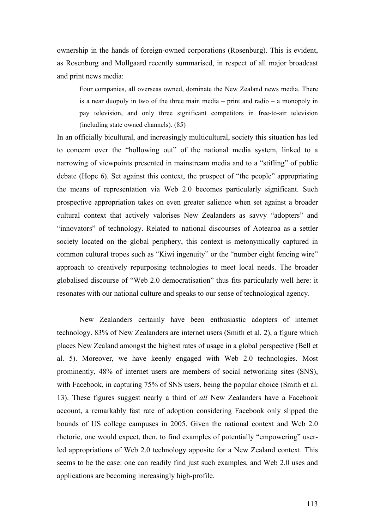ownership in the hands of foreign-owned corporations (Rosenburg). This is evident, as Rosenburg and Mollgaard recently summarised, in respect of all major broadcast and print news media:

Four companies, all overseas owned, dominate the New Zealand news media. There is a near duopoly in two of the three main media – print and radio – a monopoly in pay television, and only three significant competitors in free-to-air television (including state owned channels). (85)

In an officially bicultural, and increasingly multicultural, society this situation has led to concern over the "hollowing out" of the national media system, linked to a narrowing of viewpoints presented in mainstream media and to a "stifling" of public debate (Hope 6). Set against this context, the prospect of "the people" appropriating the means of representation via Web 2.0 becomes particularly significant. Such prospective appropriation takes on even greater salience when set against a broader cultural context that actively valorises New Zealanders as savvy "adopters" and "innovators" of technology. Related to national discourses of Aotearoa as a settler society located on the global periphery, this context is metonymically captured in common cultural tropes such as "Kiwi ingenuity" or the "number eight fencing wire" approach to creatively repurposing technologies to meet local needs. The broader globalised discourse of "Web 2.0 democratisation" thus fits particularly well here: it resonates with our national culture and speaks to our sense of technological agency.

New Zealanders certainly have been enthusiastic adopters of internet technology. 83% of New Zealanders are internet users (Smith et al. 2), a figure which places New Zealand amongst the highest rates of usage in a global perspective (Bell et al. 5). Moreover, we have keenly engaged with Web 2.0 technologies. Most prominently, 48% of internet users are members of social networking sites (SNS), with Facebook, in capturing 75% of SNS users, being the popular choice (Smith et al. 13). These figures suggest nearly a third of *all* New Zealanders have a Facebook account, a remarkably fast rate of adoption considering Facebook only slipped the bounds of US college campuses in 2005. Given the national context and Web 2.0 rhetoric, one would expect, then, to find examples of potentially "empowering" userled appropriations of Web 2.0 technology apposite for a New Zealand context. This seems to be the case: one can readily find just such examples, and Web 2.0 uses and applications are becoming increasingly high-profile.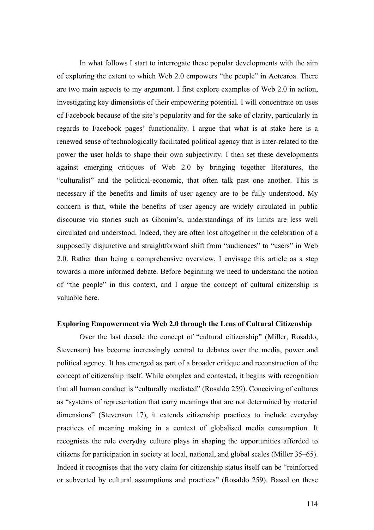In what follows I start to interrogate these popular developments with the aim of exploring the extent to which Web 2.0 empowers "the people" in Aotearoa. There are two main aspects to my argument. I first explore examples of Web 2.0 in action, investigating key dimensions of their empowering potential. I will concentrate on uses of Facebook because of the site's popularity and for the sake of clarity, particularly in regards to Facebook pages' functionality. I argue that what is at stake here is a renewed sense of technologically facilitated political agency that is inter-related to the power the user holds to shape their own subjectivity. I then set these developments against emerging critiques of Web 2.0 by bringing together literatures, the "culturalist" and the political-economic, that often talk past one another. This is necessary if the benefits and limits of user agency are to be fully understood. My concern is that, while the benefits of user agency are widely circulated in public discourse via stories such as Ghonim's, understandings of its limits are less well circulated and understood. Indeed, they are often lost altogether in the celebration of a supposedly disjunctive and straightforward shift from "audiences" to "users" in Web 2.0. Rather than being a comprehensive overview, I envisage this article as a step towards a more informed debate. Before beginning we need to understand the notion of "the people" in this context, and I argue the concept of cultural citizenship is valuable here.

#### **Exploring Empowerment via Web 2.0 through the Lens of Cultural Citizenship**

Over the last decade the concept of "cultural citizenship" (Miller, Rosaldo, Stevenson) has become increasingly central to debates over the media, power and political agency. It has emerged as part of a broader critique and reconstruction of the concept of citizenship itself. While complex and contested, it begins with recognition that all human conduct is "culturally mediated" (Rosaldo 259). Conceiving of cultures as "systems of representation that carry meanings that are not determined by material dimensions" (Stevenson 17), it extends citizenship practices to include everyday practices of meaning making in a context of globalised media consumption. It recognises the role everyday culture plays in shaping the opportunities afforded to citizens for participation in society at local, national, and global scales (Miller 35–65). Indeed it recognises that the very claim for citizenship status itself can be "reinforced or subverted by cultural assumptions and practices" (Rosaldo 259). Based on these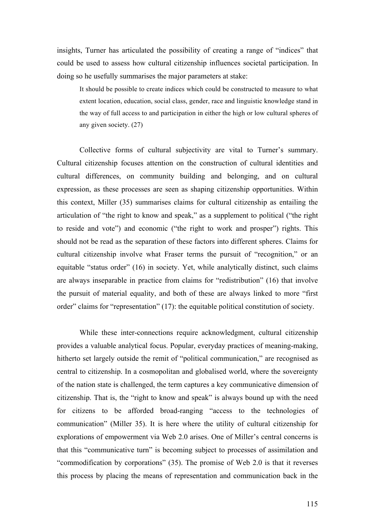insights, Turner has articulated the possibility of creating a range of "indices" that could be used to assess how cultural citizenship influences societal participation. In doing so he usefully summarises the major parameters at stake:

It should be possible to create indices which could be constructed to measure to what extent location, education, social class, gender, race and linguistic knowledge stand in the way of full access to and participation in either the high or low cultural spheres of any given society. (27)

Collective forms of cultural subjectivity are vital to Turner's summary. Cultural citizenship focuses attention on the construction of cultural identities and cultural differences, on community building and belonging, and on cultural expression, as these processes are seen as shaping citizenship opportunities. Within this context, Miller (35) summarises claims for cultural citizenship as entailing the articulation of "the right to know and speak," as a supplement to political ("the right to reside and vote") and economic ("the right to work and prosper") rights. This should not be read as the separation of these factors into different spheres. Claims for cultural citizenship involve what Fraser terms the pursuit of "recognition," or an equitable "status order" (16) in society. Yet, while analytically distinct, such claims are always inseparable in practice from claims for "redistribution" (16) that involve the pursuit of material equality, and both of these are always linked to more "first order" claims for "representation" (17): the equitable political constitution of society.

While these inter-connections require acknowledgment, cultural citizenship provides a valuable analytical focus. Popular, everyday practices of meaning-making, hitherto set largely outside the remit of "political communication," are recognised as central to citizenship. In a cosmopolitan and globalised world, where the sovereignty of the nation state is challenged, the term captures a key communicative dimension of citizenship. That is, the "right to know and speak" is always bound up with the need for citizens to be afforded broad-ranging "access to the technologies of communication" (Miller 35). It is here where the utility of cultural citizenship for explorations of empowerment via Web 2.0 arises. One of Miller's central concerns is that this "communicative turn" is becoming subject to processes of assimilation and "commodification by corporations" (35). The promise of Web 2.0 is that it reverses this process by placing the means of representation and communication back in the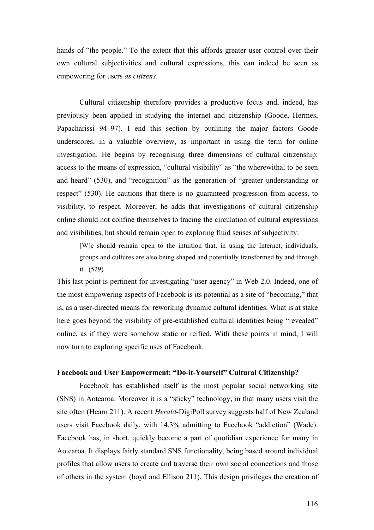hands of "the people." To the extent that this affords greater user control over their own cultural subjectivities and cultural expressions, this can indeed be seen as empowering for users *as citizens*.

Cultural citizenship therefore provides a productive focus and, indeed, has previously been applied in studying the internet and citizenship (Goode, Hermes, Papacharissi 94–97). I end this section by outlining the major factors Goode underscores, in a valuable overview, as important in using the term for online investigation. He begins by recognising three dimensions of cultural citizenship: access to the means of expression, "cultural visibility" as "the wherewithal to be seen and heard" (530), and "recognition" as the generation of "greater understanding or respect" (530). He cautions that there is no guaranteed progression from access, to visibility, to respect. Moreover, he adds that investigations of cultural citizenship online should not confine themselves to tracing the circulation of cultural expressions and visibilities, but should remain open to exploring fluid senses of subjectivity:

[W]e should remain open to the intuition that, in using the Internet, individuals, groups and cultures are also being shaped and potentially transformed by and through it. (529)

This last point is pertinent for investigating "user agency" in Web 2.0. Indeed, one of the most empowering aspects of Facebook is its potential as a site of "becoming," that is, as a user-directed means for reworking dynamic cultural identities. What is at stake here goes beyond the visibility of pre-established cultural identities being "revealed" online, as if they were somehow static or reified. With these points in mind, I will now turn to exploring specific uses of Facebook.

#### **Facebook and User Empowerment: "Do-it-Yourself" Cultural Citizenship?**

Facebook has established itself as the most popular social networking site (SNS) in Aotearoa. Moreover it is a "sticky" technology, in that many users visit the site often (Hearn 211). A recent *Herald*-DigiPoll survey suggests half of New Zealand users visit Facebook daily, with 14.3% admitting to Facebook "addiction" (Wade). Facebook has, in short, quickly become a part of quotidian experience for many in Aotearoa. It displays fairly standard SNS functionality, being based around individual profiles that allow users to create and traverse their own social connections and those of others in the system (boyd and Ellison 211). This design privileges the creation of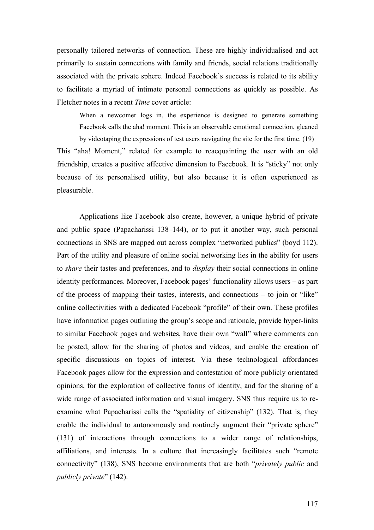personally tailored networks of connection. These are highly individualised and act primarily to sustain connections with family and friends, social relations traditionally associated with the private sphere. Indeed Facebook's success is related to its ability to facilitate a myriad of intimate personal connections as quickly as possible. As Fletcher notes in a recent *Time* cover article:

When a newcomer logs in, the experience is designed to generate something Facebook calls the aha! moment. This is an observable emotional connection, gleaned by videotaping the expressions of test users navigating the site for the first time. (19)

This "aha! Moment," related for example to reacquainting the user with an old friendship, creates a positive affective dimension to Facebook. It is "sticky" not only because of its personalised utility, but also because it is often experienced as pleasurable.

Applications like Facebook also create, however, a unique hybrid of private and public space (Papacharissi 138–144), or to put it another way, such personal connections in SNS are mapped out across complex "networked publics" (boyd 112). Part of the utility and pleasure of online social networking lies in the ability for users to *share* their tastes and preferences, and to *display* their social connections in online identity performances. Moreover, Facebook pages' functionality allows users – as part of the process of mapping their tastes, interests, and connections – to join or "like" online collectivities with a dedicated Facebook "profile" of their own. These profiles have information pages outlining the group's scope and rationale, provide hyper-links to similar Facebook pages and websites, have their own "wall" where comments can be posted, allow for the sharing of photos and videos, and enable the creation of specific discussions on topics of interest. Via these technological affordances Facebook pages allow for the expression and contestation of more publicly orientated opinions, for the exploration of collective forms of identity, and for the sharing of a wide range of associated information and visual imagery. SNS thus require us to reexamine what Papacharissi calls the "spatiality of citizenship" (132). That is, they enable the individual to autonomously and routinely augment their "private sphere" (131) of interactions through connections to a wider range of relationships, affiliations, and interests. In a culture that increasingly facilitates such "remote connectivity" (138), SNS become environments that are both "*privately public* and *publicly private*" (142).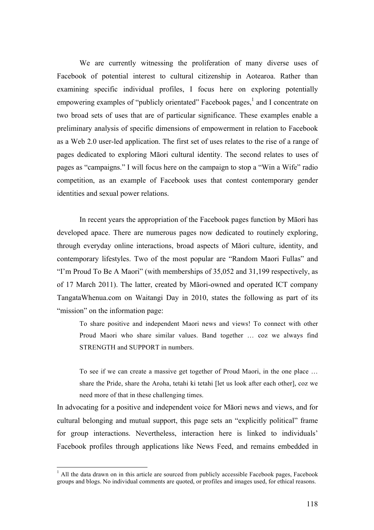We are currently witnessing the proliferation of many diverse uses of Facebook of potential interest to cultural citizenship in Aotearoa. Rather than examining specific individual profiles, I focus here on exploring potentially empowering examples of "publicly orientated" Facebook pages, $\frac{1}{1}$  and I concentrate on two broad sets of uses that are of particular significance. These examples enable a preliminary analysis of specific dimensions of empowerment in relation to Facebook as a Web 2.0 user-led application. The first set of uses relates to the rise of a range of pages dedicated to exploring Māori cultural identity. The second relates to uses of pages as "campaigns." I will focus here on the campaign to stop a "Win a Wife" radio competition, as an example of Facebook uses that contest contemporary gender identities and sexual power relations.

In recent years the appropriation of the Facebook pages function by Māori has developed apace. There are numerous pages now dedicated to routinely exploring, through everyday online interactions, broad aspects of Māori culture, identity, and contemporary lifestyles. Two of the most popular are "Random Maori Fullas" and "I'm Proud To Be A Maori" (with memberships of 35,052 and 31,199 respectively, as of 17 March 2011). The latter, created by Māori-owned and operated ICT company TangataWhenua.com on Waitangi Day in 2010, states the following as part of its "mission" on the information page:

To share positive and independent Maori news and views! To connect with other Proud Maori who share similar values. Band together … coz we always find STRENGTH and SUPPORT in numbers.

To see if we can create a massive get together of Proud Maori, in the one place … share the Pride, share the Aroha, tetahi ki tetahi [let us look after each other], coz we need more of that in these challenging times.

In advocating for a positive and independent voice for Māori news and views, and for cultural belonging and mutual support, this page sets an "explicitly political" frame for group interactions. Nevertheless, interaction here is linked to individuals' Facebook profiles through applications like News Feed, and remains embedded in

 $<sup>1</sup>$  All the data drawn on in this article are sourced from publicly accessible Facebook pages, Facebook</sup> groups and blogs. No individual comments are quoted, or profiles and images used, for ethical reasons.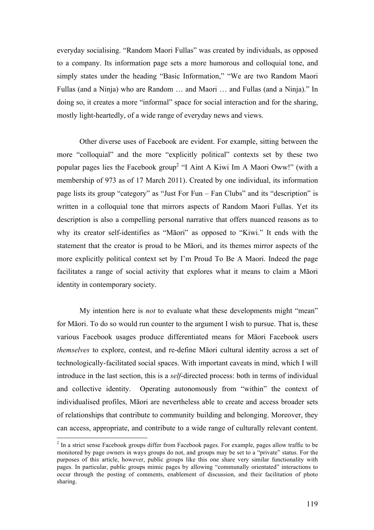everyday socialising. "Random Maori Fullas" was created by individuals, as opposed to a company. Its information page sets a more humorous and colloquial tone, and simply states under the heading "Basic Information," "We are two Random Maori Fullas (and a Ninja) who are Random … and Maori … and Fullas (and a Ninja)." In doing so, it creates a more "informal" space for social interaction and for the sharing, mostly light-heartedly, of a wide range of everyday news and views.

Other diverse uses of Facebook are evident. For example, sitting between the more "colloquial" and the more "explicitly political" contexts set by these two popular pages lies the Facebook group2 "I Aint A Kiwi Im A Maori Oww!" (with a membership of 973 as of 17 March 2011). Created by one individual, its information page lists its group "category" as "Just For Fun – Fan Clubs" and its "description" is written in a colloquial tone that mirrors aspects of Random Maori Fullas. Yet its description is also a compelling personal narrative that offers nuanced reasons as to why its creator self-identifies as "Māori" as opposed to "Kiwi." It ends with the statement that the creator is proud to be Māori, and its themes mirror aspects of the more explicitly political context set by I'm Proud To Be A Maori. Indeed the page facilitates a range of social activity that explores what it means to claim a Māori identity in contemporary society.

My intention here is *not* to evaluate what these developments might "mean" for Māori. To do so would run counter to the argument I wish to pursue. That is, these various Facebook usages produce differentiated means for Māori Facebook users *themselves* to explore, contest, and re-define Māori cultural identity across a set of technologically-facilitated social spaces. With important caveats in mind, which I will introduce in the last section, this is a *self*-directed process: both in terms of individual and collective identity. Operating autonomously from "within" the context of individualised profiles, Māori are nevertheless able to create and access broader sets of relationships that contribute to community building and belonging. Moreover, they can access, appropriate, and contribute to a wide range of culturally relevant content.

 <sup>2</sup> In a strict sense Facebook groups differ from Facebook pages. For example, pages allow traffic to be monitored by page owners in ways groups do not, and groups may be set to a "private" status. For the purposes of this article, however, public groups like this one share very similar functionality with pages. In particular, public groups mimic pages by allowing "communally orientated" interactions to occur through the posting of comments, enablement of discussion, and their facilitation of photo sharing.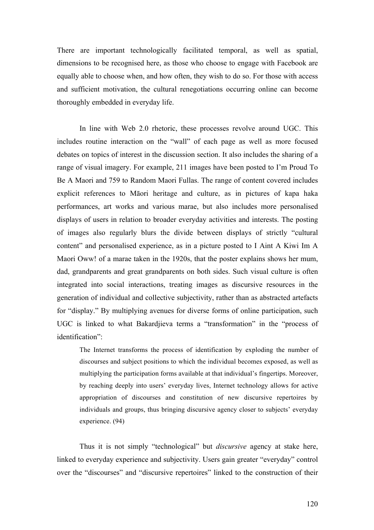There are important technologically facilitated temporal, as well as spatial, dimensions to be recognised here, as those who choose to engage with Facebook are equally able to choose when, and how often, they wish to do so. For those with access and sufficient motivation, the cultural renegotiations occurring online can become thoroughly embedded in everyday life.

In line with Web 2.0 rhetoric, these processes revolve around UGC. This includes routine interaction on the "wall" of each page as well as more focused debates on topics of interest in the discussion section. It also includes the sharing of a range of visual imagery. For example, 211 images have been posted to I'm Proud To Be A Maori and 759 to Random Maori Fullas. The range of content covered includes explicit references to Māori heritage and culture, as in pictures of kapa haka performances, art works and various marae, but also includes more personalised displays of users in relation to broader everyday activities and interests. The posting of images also regularly blurs the divide between displays of strictly "cultural content" and personalised experience, as in a picture posted to I Aint A Kiwi Im A Maori Oww! of a marae taken in the 1920s, that the poster explains shows her mum, dad, grandparents and great grandparents on both sides. Such visual culture is often integrated into social interactions, treating images as discursive resources in the generation of individual and collective subjectivity, rather than as abstracted artefacts for "display." By multiplying avenues for diverse forms of online participation, such UGC is linked to what Bakardjieva terms a "transformation" in the "process of identification":

The Internet transforms the process of identification by exploding the number of discourses and subject positions to which the individual becomes exposed, as well as multiplying the participation forms available at that individual's fingertips. Moreover, by reaching deeply into users' everyday lives, Internet technology allows for active appropriation of discourses and constitution of new discursive repertoires by individuals and groups, thus bringing discursive agency closer to subjects' everyday experience. (94)

Thus it is not simply "technological" but *discursive* agency at stake here, linked to everyday experience and subjectivity. Users gain greater "everyday" control over the "discourses" and "discursive repertoires" linked to the construction of their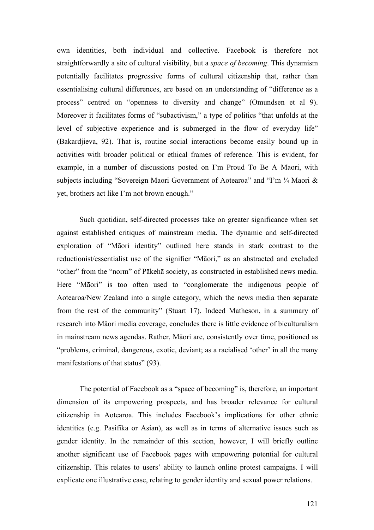own identities, both individual and collective. Facebook is therefore not straightforwardly a site of cultural visibility, but a *space of becoming*. This dynamism potentially facilitates progressive forms of cultural citizenship that, rather than essentialising cultural differences, are based on an understanding of "difference as a process" centred on "openness to diversity and change" (Omundsen et al 9). Moreover it facilitates forms of "subactivism," a type of politics "that unfolds at the level of subjective experience and is submerged in the flow of everyday life" (Bakardjieva, 92). That is, routine social interactions become easily bound up in activities with broader political or ethical frames of reference. This is evident, for example, in a number of discussions posted on I'm Proud To Be A Maori, with subjects including "Sovereign Maori Government of Aotearoa" and "I'm ¼ Maori & yet, brothers act like I'm not brown enough."

Such quotidian, self-directed processes take on greater significance when set against established critiques of mainstream media. The dynamic and self-directed exploration of "Māori identity" outlined here stands in stark contrast to the reductionist/essentialist use of the signifier "Māori," as an abstracted and excluded "other" from the "norm" of Pākehā society, as constructed in established news media. Here "Māori" is too often used to "conglomerate the indigenous people of Aotearoa/New Zealand into a single category, which the news media then separate from the rest of the community" (Stuart 17). Indeed Matheson, in a summary of research into Māori media coverage, concludes there is little evidence of biculturalism in mainstream news agendas. Rather, Māori are, consistently over time, positioned as "problems, criminal, dangerous, exotic, deviant; as a racialised 'other' in all the many manifestations of that status" (93).

The potential of Facebook as a "space of becoming" is, therefore, an important dimension of its empowering prospects, and has broader relevance for cultural citizenship in Aotearoa. This includes Facebook's implications for other ethnic identities (e.g. Pasifika or Asian), as well as in terms of alternative issues such as gender identity. In the remainder of this section, however, I will briefly outline another significant use of Facebook pages with empowering potential for cultural citizenship. This relates to users' ability to launch online protest campaigns. I will explicate one illustrative case, relating to gender identity and sexual power relations.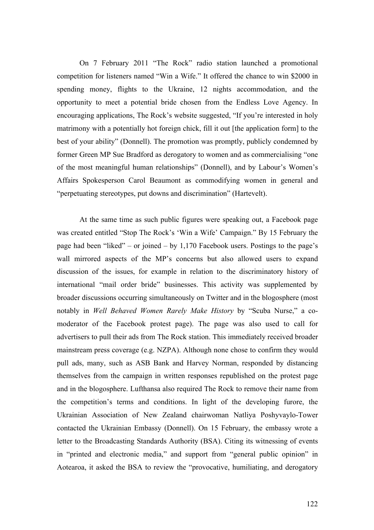On 7 February 2011 "The Rock" radio station launched a promotional competition for listeners named "Win a Wife." It offered the chance to win \$2000 in spending money, flights to the Ukraine, 12 nights accommodation, and the opportunity to meet a potential bride chosen from the Endless Love Agency. In encouraging applications, The Rock's website suggested, "If you're interested in holy matrimony with a potentially hot foreign chick, fill it out [the application form] to the best of your ability" (Donnell). The promotion was promptly, publicly condemned by former Green MP Sue Bradford as derogatory to women and as commercialising "one of the most meaningful human relationships" (Donnell), and by Labour's Women's Affairs Spokesperson Carol Beaumont as commodifying women in general and "perpetuating stereotypes, put downs and discrimination" (Hartevelt).

At the same time as such public figures were speaking out, a Facebook page was created entitled "Stop The Rock's 'Win a Wife' Campaign." By 15 February the page had been "liked" – or joined – by  $1,170$  Facebook users. Postings to the page's wall mirrored aspects of the MP's concerns but also allowed users to expand discussion of the issues, for example in relation to the discriminatory history of international "mail order bride" businesses. This activity was supplemented by broader discussions occurring simultaneously on Twitter and in the blogosphere (most notably in *Well Behaved Women Rarely Make History* by "Scuba Nurse," a comoderator of the Facebook protest page). The page was also used to call for advertisers to pull their ads from The Rock station. This immediately received broader mainstream press coverage (e.g. NZPA). Although none chose to confirm they would pull ads, many, such as ASB Bank and Harvey Norman, responded by distancing themselves from the campaign in written responses republished on the protest page and in the blogosphere. Lufthansa also required The Rock to remove their name from the competition's terms and conditions. In light of the developing furore, the Ukrainian Association of New Zealand chairwoman Natliya Poshyvaylo-Tower contacted the Ukrainian Embassy (Donnell). On 15 February, the embassy wrote a letter to the Broadcasting Standards Authority (BSA). Citing its witnessing of events in "printed and electronic media," and support from "general public opinion" in Aotearoa, it asked the BSA to review the "provocative, humiliating, and derogatory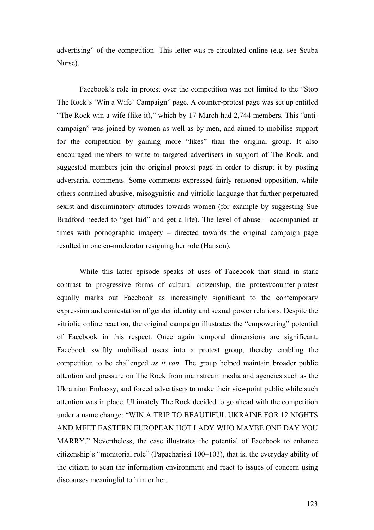advertising" of the competition. This letter was re-circulated online (e.g. see Scuba Nurse).

Facebook's role in protest over the competition was not limited to the "Stop The Rock's 'Win a Wife' Campaign" page. A counter-protest page was set up entitled "The Rock win a wife (like it)," which by 17 March had 2,744 members. This "anticampaign" was joined by women as well as by men, and aimed to mobilise support for the competition by gaining more "likes" than the original group. It also encouraged members to write to targeted advertisers in support of The Rock, and suggested members join the original protest page in order to disrupt it by posting adversarial comments. Some comments expressed fairly reasoned opposition, while others contained abusive, misogynistic and vitriolic language that further perpetuated sexist and discriminatory attitudes towards women (for example by suggesting Sue Bradford needed to "get laid" and get a life). The level of abuse – accompanied at times with pornographic imagery – directed towards the original campaign page resulted in one co-moderator resigning her role (Hanson).

While this latter episode speaks of uses of Facebook that stand in stark contrast to progressive forms of cultural citizenship, the protest/counter-protest equally marks out Facebook as increasingly significant to the contemporary expression and contestation of gender identity and sexual power relations. Despite the vitriolic online reaction, the original campaign illustrates the "empowering" potential of Facebook in this respect. Once again temporal dimensions are significant. Facebook swiftly mobilised users into a protest group, thereby enabling the competition to be challenged *as it ran*. The group helped maintain broader public attention and pressure on The Rock from mainstream media and agencies such as the Ukrainian Embassy, and forced advertisers to make their viewpoint public while such attention was in place. Ultimately The Rock decided to go ahead with the competition under a name change: "WIN A TRIP TO BEAUTIFUL UKRAINE FOR 12 NIGHTS AND MEET EASTERN EUROPEAN HOT LADY WHO MAYBE ONE DAY YOU MARRY." Nevertheless, the case illustrates the potential of Facebook to enhance citizenship's "monitorial role" (Papacharissi 100–103), that is, the everyday ability of the citizen to scan the information environment and react to issues of concern using discourses meaningful to him or her.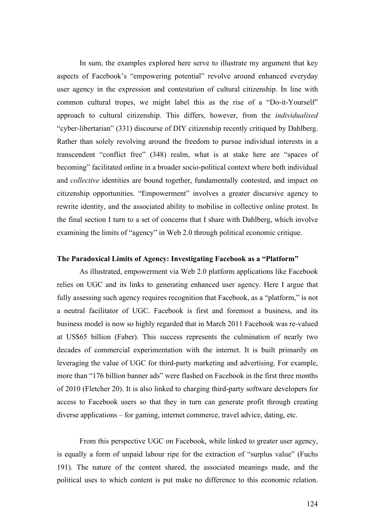In sum, the examples explored here serve to illustrate my argument that key aspects of Facebook's "empowering potential" revolve around enhanced everyday user agency in the expression and contestation of cultural citizenship. In line with common cultural tropes, we might label this as the rise of a "Do-it-Yourself" approach to cultural citizenship. This differs, however, from the *individualised* "cyber-libertarian" (331) discourse of DIY citizenship recently critiqued by Dahlberg. Rather than solely revolving around the freedom to pursue individual interests in a transcendent "conflict free" (348) realm, what is at stake here are "spaces of becoming" facilitated online in a broader socio-political context where both individual and *collective* identities are bound together, fundamentally contested, and impact on citizenship opportunities. "Empowerment" involves a greater discursive agency to rewrite identity, and the associated ability to mobilise in collective online protest. In the final section I turn to a set of concerns that I share with Dahlberg, which involve examining the limits of "agency" in Web 2.0 through political economic critique.

#### **The Paradoxical Limits of Agency: Investigating Facebook as a "Platform"**

As illustrated, empowerment via Web 2.0 platform applications like Facebook relies on UGC and its links to generating enhanced user agency. Here I argue that fully assessing such agency requires recognition that Facebook, as a "platform," is not a neutral facilitator of UGC. Facebook is first and foremost a business, and its business model is now so highly regarded that in March 2011 Facebook was re-valued at US\$65 billion (Faber). This success represents the culmination of nearly two decades of commercial experimentation with the internet. It is built primarily on leveraging the value of UGC for third-party marketing and advertising. For example, more than "176 billion banner ads" were flashed on Facebook in the first three months of 2010 (Fletcher 20). It is also linked to charging third-party software developers for access to Facebook users so that they in turn can generate profit through creating diverse applications – for gaming, internet commerce, travel advice, dating, etc.

From this perspective UGC on Facebook, while linked to greater user agency, is equally a form of unpaid labour ripe for the extraction of "surplus value" (Fuchs 191). The nature of the content shared, the associated meanings made, and the political uses to which content is put make no difference to this economic relation.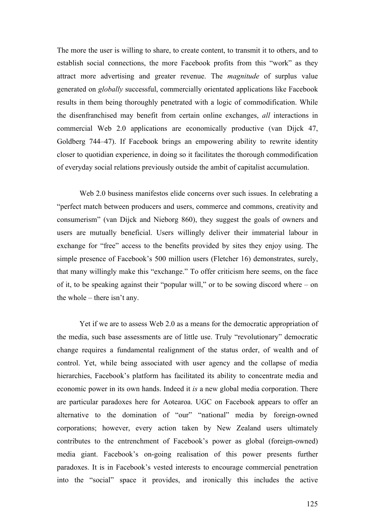The more the user is willing to share, to create content, to transmit it to others, and to establish social connections, the more Facebook profits from this "work" as they attract more advertising and greater revenue. The *magnitude* of surplus value generated on *globally* successful, commercially orientated applications like Facebook results in them being thoroughly penetrated with a logic of commodification. While the disenfranchised may benefit from certain online exchanges, *all* interactions in commercial Web 2.0 applications are economically productive (van Dijck 47, Goldberg 744–47). If Facebook brings an empowering ability to rewrite identity closer to quotidian experience, in doing so it facilitates the thorough commodification of everyday social relations previously outside the ambit of capitalist accumulation.

Web 2.0 business manifestos elide concerns over such issues. In celebrating a "perfect match between producers and users, commerce and commons, creativity and consumerism" (van Dijck and Nieborg 860), they suggest the goals of owners and users are mutually beneficial. Users willingly deliver their immaterial labour in exchange for "free" access to the benefits provided by sites they enjoy using. The simple presence of Facebook's 500 million users (Fletcher 16) demonstrates, surely, that many willingly make this "exchange." To offer criticism here seems, on the face of it, to be speaking against their "popular will," or to be sowing discord where – on the whole – there isn't any.

Yet if we are to assess Web 2.0 as a means for the democratic appropriation of the media, such base assessments are of little use. Truly "revolutionary" democratic change requires a fundamental realignment of the status order, of wealth and of control. Yet, while being associated with user agency and the collapse of media hierarchies, Facebook's platform has facilitated its ability to concentrate media and economic power in its own hands. Indeed it *is* a new global media corporation. There are particular paradoxes here for Aotearoa. UGC on Facebook appears to offer an alternative to the domination of "our" "national" media by foreign-owned corporations; however, every action taken by New Zealand users ultimately contributes to the entrenchment of Facebook's power as global (foreign-owned) media giant. Facebook's on-going realisation of this power presents further paradoxes. It is in Facebook's vested interests to encourage commercial penetration into the "social" space it provides, and ironically this includes the active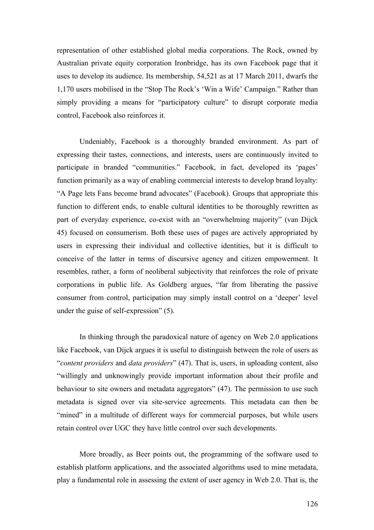representation of other established global media corporations. The Rock, owned by Australian private equity corporation Ironbridge, has its own Facebook page that it uses to develop its audience. Its membership, 54,521 as at 17 March 2011, dwarfs the 1,170 users mobilised in the "Stop The Rock's 'Win a Wife' Campaign." Rather than simply providing a means for "participatory culture" to disrupt corporate media control, Facebook also reinforces it.

Undeniably, Facebook is a thoroughly branded environment. As part of expressing their tastes, connections, and interests, users are continuously invited to participate in branded "communities." Facebook, in fact, developed its 'pages' function primarily as a way of enabling commercial interests to develop brand loyalty: "A Page lets Fans become brand advocates" (Facebook). Groups that appropriate this function to different ends, to enable cultural identities to be thoroughly rewritten as part of everyday experience, co-exist with an "overwhelming majority" (van Dijck 45) focused on consumerism. Both these uses of pages are actively appropriated by users in expressing their individual and collective identities, but it is difficult to conceive of the latter in terms of discursive agency and citizen empowerment. It resembles, rather, a form of neoliberal subjectivity that reinforces the role of private corporations in public life. As Goldberg argues, "far from liberating the passive consumer from control, participation may simply install control on a 'deeper' level under the guise of self-expression" (5).

In thinking through the paradoxical nature of agency on Web 2.0 applications like Facebook, van Dijck argues it is useful to distinguish between the role of users as "*content providers* and *data providers*" (47). That is, users, in uploading content, also "willingly and unknowingly provide important information about their profile and behaviour to site owners and metadata aggregators" (47). The permission to use such metadata is signed over via site-service agreements. This metadata can then be "mined" in a multitude of different ways for commercial purposes, but while users retain control over UGC they have little control over such developments.

More broadly, as Beer points out, the programming of the software used to establish platform applications, and the associated algorithms used to mine metadata, play a fundamental role in assessing the extent of user agency in Web 2.0. That is, the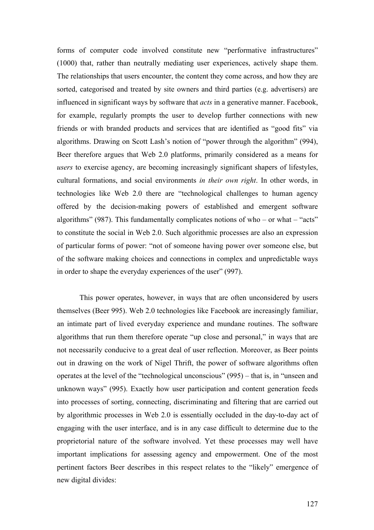forms of computer code involved constitute new "performative infrastructures" (1000) that, rather than neutrally mediating user experiences, actively shape them. The relationships that users encounter, the content they come across, and how they are sorted, categorised and treated by site owners and third parties (e.g. advertisers) are influenced in significant ways by software that *acts* in a generative manner. Facebook, for example, regularly prompts the user to develop further connections with new friends or with branded products and services that are identified as "good fits" via algorithms. Drawing on Scott Lash's notion of "power through the algorithm" (994), Beer therefore argues that Web 2.0 platforms, primarily considered as a means for *users* to exercise agency, are becoming increasingly significant shapers of lifestyles, cultural formations, and social environments *in their own right*. In other words, in technologies like Web 2.0 there are "technological challenges to human agency offered by the decision-making powers of established and emergent software algorithms" (987). This fundamentally complicates notions of who – or what – "acts" to constitute the social in Web 2.0. Such algorithmic processes are also an expression of particular forms of power: "not of someone having power over someone else, but of the software making choices and connections in complex and unpredictable ways in order to shape the everyday experiences of the user" (997).

This power operates, however, in ways that are often unconsidered by users themselves (Beer 995). Web 2.0 technologies like Facebook are increasingly familiar, an intimate part of lived everyday experience and mundane routines. The software algorithms that run them therefore operate "up close and personal," in ways that are not necessarily conducive to a great deal of user reflection. Moreover, as Beer points out in drawing on the work of Nigel Thrift, the power of software algorithms often operates at the level of the "technological unconscious" (995) – that is, in "unseen and unknown ways" (995). Exactly how user participation and content generation feeds into processes of sorting, connecting, discriminating and filtering that are carried out by algorithmic processes in Web 2.0 is essentially occluded in the day-to-day act of engaging with the user interface, and is in any case difficult to determine due to the proprietorial nature of the software involved. Yet these processes may well have important implications for assessing agency and empowerment. One of the most pertinent factors Beer describes in this respect relates to the "likely" emergence of new digital divides: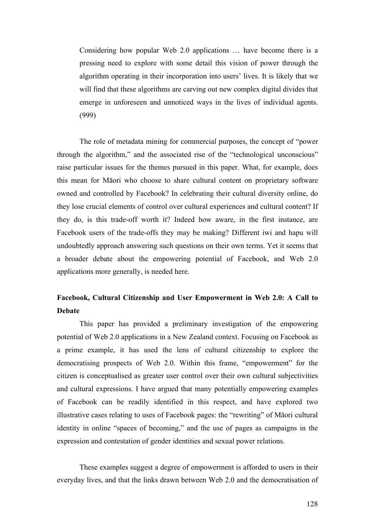Considering how popular Web 2.0 applications … have become there is a pressing need to explore with some detail this vision of power through the algorithm operating in their incorporation into users' lives. It is likely that we will find that these algorithms are carving out new complex digital divides that emerge in unforeseen and unnoticed ways in the lives of individual agents. (999)

The role of metadata mining for commercial purposes, the concept of "power through the algorithm," and the associated rise of the "technological unconscious" raise particular issues for the themes pursued in this paper. What, for example, does this mean for Māori who choose to share cultural content on proprietary software owned and controlled by Facebook? In celebrating their cultural diversity online, do they lose crucial elements of control over cultural experiences and cultural content? If they do, is this trade-off worth it? Indeed how aware, in the first instance, are Facebook users of the trade-offs they may be making? Different iwi and hapu will undoubtedly approach answering such questions on their own terms. Yet it seems that a broader debate about the empowering potential of Facebook, and Web 2.0 applications more generally, is needed here.

## **Facebook, Cultural Citizenship and User Empowerment in Web 2.0: A Call to Debate**

This paper has provided a preliminary investigation of the empowering potential of Web 2.0 applications in a New Zealand context. Focusing on Facebook as a prime example, it has used the lens of cultural citizenship to explore the democratising prospects of Web 2.0. Within this frame, "empowerment" for the citizen is conceptualised as greater user control over their own cultural subjectivities and cultural expressions. I have argued that many potentially empowering examples of Facebook can be readily identified in this respect, and have explored two illustrative cases relating to uses of Facebook pages: the "rewriting" of Māori cultural identity in online "spaces of becoming," and the use of pages as campaigns in the expression and contestation of gender identities and sexual power relations.

These examples suggest a degree of empowerment is afforded to users in their everyday lives, and that the links drawn between Web 2.0 and the democratisation of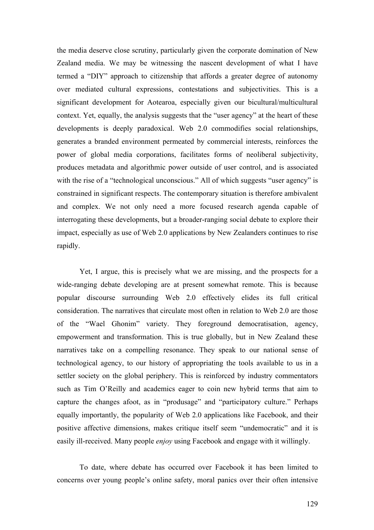the media deserve close scrutiny, particularly given the corporate domination of New Zealand media. We may be witnessing the nascent development of what I have termed a "DIY" approach to citizenship that affords a greater degree of autonomy over mediated cultural expressions, contestations and subjectivities. This is a significant development for Aotearoa, especially given our bicultural/multicultural context. Yet, equally, the analysis suggests that the "user agency" at the heart of these developments is deeply paradoxical. Web 2.0 commodifies social relationships, generates a branded environment permeated by commercial interests, reinforces the power of global media corporations, facilitates forms of neoliberal subjectivity, produces metadata and algorithmic power outside of user control, and is associated with the rise of a "technological unconscious." All of which suggests "user agency" is constrained in significant respects. The contemporary situation is therefore ambivalent and complex. We not only need a more focused research agenda capable of interrogating these developments, but a broader-ranging social debate to explore their impact, especially as use of Web 2.0 applications by New Zealanders continues to rise rapidly.

Yet, I argue, this is precisely what we are missing, and the prospects for a wide-ranging debate developing are at present somewhat remote. This is because popular discourse surrounding Web 2.0 effectively elides its full critical consideration. The narratives that circulate most often in relation to Web 2.0 are those of the "Wael Ghonim" variety. They foreground democratisation, agency, empowerment and transformation. This is true globally, but in New Zealand these narratives take on a compelling resonance. They speak to our national sense of technological agency, to our history of appropriating the tools available to us in a settler society on the global periphery. This is reinforced by industry commentators such as Tim O'Reilly and academics eager to coin new hybrid terms that aim to capture the changes afoot, as in "produsage" and "participatory culture." Perhaps equally importantly, the popularity of Web 2.0 applications like Facebook, and their positive affective dimensions, makes critique itself seem "undemocratic" and it is easily ill-received. Many people *enjoy* using Facebook and engage with it willingly.

To date, where debate has occurred over Facebook it has been limited to concerns over young people's online safety, moral panics over their often intensive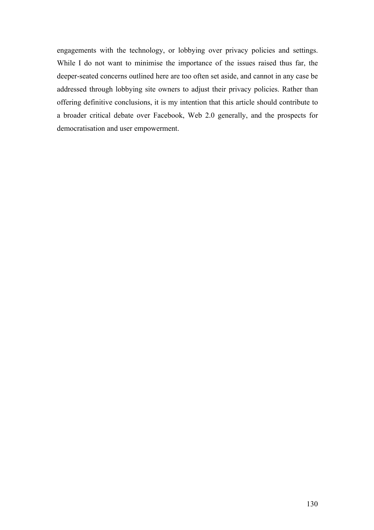engagements with the technology, or lobbying over privacy policies and settings. While I do not want to minimise the importance of the issues raised thus far, the deeper-seated concerns outlined here are too often set aside, and cannot in any case be addressed through lobbying site owners to adjust their privacy policies. Rather than offering definitive conclusions, it is my intention that this article should contribute to a broader critical debate over Facebook, Web 2.0 generally, and the prospects for democratisation and user empowerment.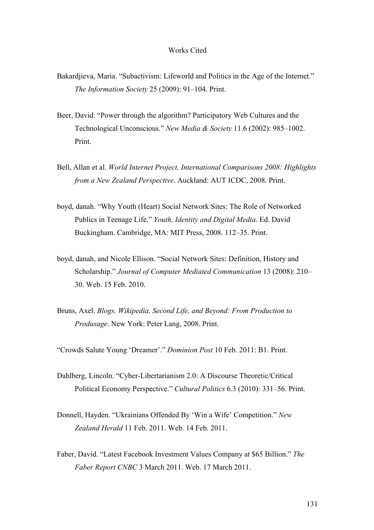#### Works Cited

- Bakardjieva, Maria. "Subactivism: Lifeworld and Politics in the Age of the Internet." *The Information Society* 25 (2009): 91–104. Print.
- Beer, David. "Power through the algorithm? Participatory Web Cultures and the Technological Unconscious." *New Media & Society* 11.6 (2002): 985–1002. Print.
- Bell, Allan et al. *World Internet Project, International Comparisons 2008: Highlights from a New Zealand Perspective*. Auckland: AUT ICDC, 2008. Print.
- boyd, danah. "Why Youth (Heart) Social Network Sites: The Role of Networked Publics in Teenage Life." *Youth, Identity and Digital Media*. Ed. David Buckingham. Cambridge, MA: MIT Press, 2008. 112–35. Print.
- boyd, danah, and Nicole Ellison. "Social Network Sites: Definition, History and Scholarship." *Journal of Computer Mediated Communication* 13 (2008): 210– 30. Web. 15 Feb. 2010.
- Bruns, Axel. *Blogs, Wikipedia, Second Life, and Beyond: From Production to Produsage*. New York: Peter Lang, 2008. Print.
- "Crowds Salute Young 'Dreamer'." *Dominion Post* 10 Feb. 2011: B1. Print.
- Dahlberg, Lincoln. "Cyber-Libertarianism 2.0: A Discourse Theoretic/Critical Political Economy Perspective." *Cultural Politics* 6.3 (2010): 331–56. Print.
- Donnell, Hayden. "Ukrainians Offended By 'Win a Wife' Competition." *New Zealand Herald* 11 Feb. 2011. Web. 14 Feb. 2011.
- Faber, David. "Latest Facebook Investment Values Company at \$65 Billion." *The Faber Report CNBC* 3 March 2011. Web. 17 March 2011.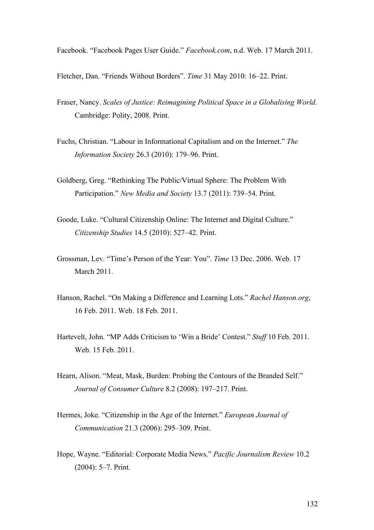Facebook. "Facebook Pages User Guide." *Facebook.com*, n.d. Web. 17 March 2011.

Fletcher, Dan. "Friends Without Borders". *Time* 31 May 2010: 16–22. Print.

- Fraser, Nancy. *Scales of Justice: Reimagining Political Space in a Globalising World*. Cambridge: Polity, 2008. Print.
- Fuchs, Christian. "Labour in Informational Capitalism and on the Internet." *The Information Society* 26.3 (2010): 179–96. Print.
- Goldberg, Greg. "Rethinking The Public/Virtual Sphere: The Problem With Participation." *New Media and Society* 13.7 (2011): 739–54. Print.
- Goode, Luke. "Cultural Citizenship Online: The Internet and Digital Culture." *Citizenship Studies* 14.5 (2010): 527–42. Print.
- Grossman, Lev. "Time's Person of the Year: You". *Time* 13 Dec. 2006. Web. 17 March 2011.
- Hanson, Rachel. "On Making a Difference and Learning Lots." *Rachel Hanson.org*, 16 Feb. 2011. Web. 18 Feb. 2011.
- Hartevelt, John. "MP Adds Criticism to 'Win a Bride' Contest." *Stuff* 10 Feb. 2011. Web. 15 Feb. 2011.
- Hearn, Alison. "Meat, Mask, Burden: Probing the Contours of the Branded Self." *Journal of Consumer Culture* 8.2 (2008): 197–217. Print.
- Hermes, Joke. "Citizenship in the Age of the Internet." *European Journal of Communication* 21.3 (2006): 295–309. Print.
- Hope, Wayne. "Editorial: Corporate Media News." *Pacific Journalism Review* 10.2 (2004): 5–7. Print.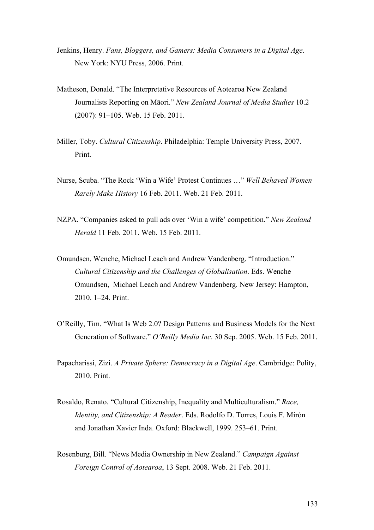- Jenkins, Henry. *Fans, Bloggers, and Gamers: Media Consumers in a Digital Age*. New York: NYU Press, 2006. Print.
- Matheson, Donald. "The Interpretative Resources of Aotearoa New Zealand Journalists Reporting on Māori." *New Zealand Journal of Media Studies* 10.2 (2007): 91–105. Web. 15 Feb. 2011.
- Miller, Toby. *Cultural Citizenship*. Philadelphia: Temple University Press, 2007. Print.
- Nurse, Scuba. "The Rock 'Win a Wife' Protest Continues …" *Well Behaved Women Rarely Make History* 16 Feb. 2011. Web. 21 Feb. 2011.
- NZPA. "Companies asked to pull ads over 'Win a wife' competition." *New Zealand Herald* 11 Feb. 2011. Web. 15 Feb. 2011.
- Omundsen, Wenche, Michael Leach and Andrew Vandenberg. "Introduction." *Cultural Citizenship and the Challenges of Globalisation*. Eds. Wenche Omundsen, Michael Leach and Andrew Vandenberg. New Jersey: Hampton, 2010. 1–24. Print.
- O'Reilly, Tim. "What Is Web 2.0? Design Patterns and Business Models for the Next Generation of Software." *O'Reilly Media Inc*. 30 Sep. 2005. Web. 15 Feb. 2011.
- Papacharissi, Zizi. *A Private Sphere: Democracy in a Digital Age*. Cambridge: Polity, 2010. Print.
- Rosaldo, Renato. "Cultural Citizenship, Inequality and Multiculturalism." *Race, Identity, and Citizenship: A Reader*. Eds. Rodolfo D. Torres, Louis F. Mirón and Jonathan Xavier Inda. Oxford: Blackwell, 1999. 253–61. Print.
- Rosenburg, Bill. "News Media Ownership in New Zealand." *Campaign Against Foreign Control of Aotearoa*, 13 Sept. 2008. Web. 21 Feb. 2011.